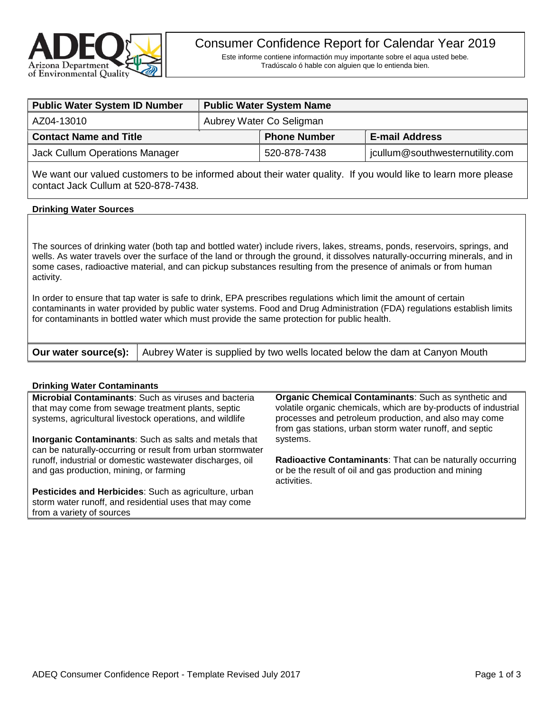

Este informe contiene informactión muy importante sobre el aqua usted bebe. Tradúscalo ó hable con alguien que lo entienda bien.

| <b>Public Water System ID Number</b> | <b>Public Water System Name</b> |                     |                                 |  |  |
|--------------------------------------|---------------------------------|---------------------|---------------------------------|--|--|
| AZ04-13010                           | Aubrey Water Co Seligman        |                     |                                 |  |  |
| <b>Contact Name and Title</b>        |                                 | <b>Phone Number</b> | <b>E-mail Address</b>           |  |  |
| Jack Cullum Operations Manager       |                                 | 520-878-7438        | jcullum@southwesternutility.com |  |  |

We want our valued customers to be informed about their water quality. If you would like to learn more please contact Jack Cullum at 520-878-7438.

### **Drinking Water Sources**

The sources of drinking water (both tap and bottled water) include rivers, lakes, streams, ponds, reservoirs, springs, and wells. As water travels over the surface of the land or through the ground, it dissolves naturally-occurring minerals, and in some cases, radioactive material, and can pickup substances resulting from the presence of animals or from human activity.

In order to ensure that tap water is safe to drink, EPA prescribes regulations which limit the amount of certain contaminants in water provided by public water systems. Food and Drug Administration (FDA) regulations establish limits for contaminants in bottled water which must provide the same protection for public health.

| <b>Our water source(s):</b> Aubrey Water is supplied by two wells located below the dam at Canyon Mouth |  |
|---------------------------------------------------------------------------------------------------------|--|
|---------------------------------------------------------------------------------------------------------|--|

### **Drinking Water Contaminants**

**Microbial Contaminants**: Such as viruses and bacteria that may come from sewage treatment plants, septic systems, agricultural livestock operations, and wildlife

**Inorganic Contaminants**: Such as salts and metals that can be naturally-occurring or result from urban stormwater runoff, industrial or domestic wastewater discharges, oil and gas production, mining, or farming

**Pesticides and Herbicides**: Such as agriculture, urban storm water runoff, and residential uses that may come from a variety of sources

**Organic Chemical Contaminants**: Such as synthetic and volatile organic chemicals, which are by-products of industrial processes and petroleum production, and also may come from gas stations, urban storm water runoff, and septic systems.

**Radioactive Contaminants**: That can be naturally occurring or be the result of oil and gas production and mining activities.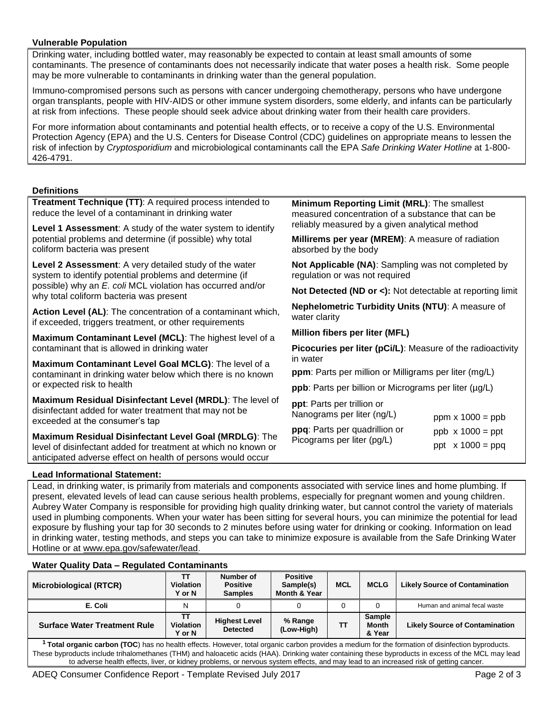# **Vulnerable Population**

Drinking water, including bottled water, may reasonably be expected to contain at least small amounts of some contaminants. The presence of contaminants does not necessarily indicate that water poses a health risk. Some people may be more vulnerable to contaminants in drinking water than the general population.

Immuno-compromised persons such as persons with cancer undergoing chemotherapy, persons who have undergone organ transplants, people with HIV-AIDS or other immune system disorders, some elderly, and infants can be particularly at risk from infections. These people should seek advice about drinking water from their health care providers.

For more information about contaminants and potential health effects, or to receive a copy of the U.S. Environmental Protection Agency (EPA) and the U.S. Centers for Disease Control (CDC) guidelines on appropriate means to lessen the risk of infection by *Cryptosporidium* and microbiological contaminants call the EPA *Safe Drinking Water Hotline* at 1-800- 426-4791.

# **Definitions**

| Denniuons                                                                                                                     |                                                                                                                                                    |  |  |  |  |
|-------------------------------------------------------------------------------------------------------------------------------|----------------------------------------------------------------------------------------------------------------------------------------------------|--|--|--|--|
| Treatment Technique (TT): A required process intended to<br>reduce the level of a contaminant in drinking water               | Minimum Reporting Limit (MRL): The smallest<br>measured concentration of a substance that can be<br>reliably measured by a given analytical method |  |  |  |  |
| Level 1 Assessment: A study of the water system to identify                                                                   |                                                                                                                                                    |  |  |  |  |
| potential problems and determine (if possible) why total<br>coliform bacteria was present                                     | Millirems per year (MREM): A measure of radiation<br>absorbed by the body                                                                          |  |  |  |  |
| Level 2 Assessment: A very detailed study of the water<br>system to identify potential problems and determine (if             | Not Applicable (NA): Sampling was not completed by<br>regulation or was not required                                                               |  |  |  |  |
| possible) why an E. coli MCL violation has occurred and/or<br>why total coliform bacteria was present                         | Not Detected (ND or <): Not detectable at reporting limit                                                                                          |  |  |  |  |
| Action Level (AL): The concentration of a contaminant which,<br>if exceeded, triggers treatment, or other requirements        | Nephelometric Turbidity Units (NTU): A measure of<br>water clarity                                                                                 |  |  |  |  |
| Maximum Contaminant Level (MCL): The highest level of a                                                                       | Million fibers per liter (MFL)                                                                                                                     |  |  |  |  |
| contaminant that is allowed in drinking water                                                                                 | <b>Picocuries per liter (pCi/L):</b> Measure of the radioactivity                                                                                  |  |  |  |  |
| Maximum Contaminant Level Goal MCLG): The level of a                                                                          | in water                                                                                                                                           |  |  |  |  |
| contaminant in drinking water below which there is no known                                                                   | <b>ppm</b> : Parts per million or Milligrams per liter (mg/L)                                                                                      |  |  |  |  |
| or expected risk to health                                                                                                    | ppb: Parts per billion or Micrograms per liter (µg/L)                                                                                              |  |  |  |  |
| Maximum Residual Disinfectant Level (MRDL): The level of                                                                      | ppt: Parts per trillion or                                                                                                                         |  |  |  |  |
| disinfectant added for water treatment that may not be<br>exceeded at the consumer's tap                                      | Nanograms per liter (ng/L)<br>ppm $x 1000 = ppb$                                                                                                   |  |  |  |  |
| Maximum Residual Disinfectant Level Goal (MRDLG): The                                                                         | ppq: Parts per quadrillion or<br>$ppb \times 1000 = ppt$                                                                                           |  |  |  |  |
| level of disinfectant added for treatment at which no known or<br>anticipated adverse effect on health of persons would occur | Picograms per liter (pg/L)<br>ppt $x 1000 = ppq$                                                                                                   |  |  |  |  |

### **Lead Informational Statement:**

Lead, in drinking water, is primarily from materials and components associated with service lines and home plumbing. If present, elevated levels of lead can cause serious health problems, especially for pregnant women and young children. Aubrey Water Company is responsible for providing high quality drinking water, but cannot control the variety of materials used in plumbing components. When your water has been sitting for several hours, you can minimize the potential for lead exposure by flushing your tap for 30 seconds to 2 minutes before using water for drinking or cooking. Information on lead in drinking water, testing methods, and steps you can take to minimize exposure is available from the Safe Drinking Water Hotline or at [www.epa.gov/safewater/lead.](http://www.epa.gov/safewater/lead)

### **Water Quality Data – Regulated Contaminants**

| <b>Microbiological (RTCR)</b>       | тт<br><b>Violation</b><br>Y or N | Number of<br><b>Positive</b><br><b>Samples</b> | <b>Positive</b><br>Sample(s)<br>Month & Year | <b>MCL</b> | <b>MCLG</b>                             | <b>Likely Source of Contamination</b> |
|-------------------------------------|----------------------------------|------------------------------------------------|----------------------------------------------|------------|-----------------------------------------|---------------------------------------|
| E. Coli                             | N                                |                                                |                                              |            |                                         | Human and animal fecal waste          |
| <b>Surface Water Treatment Rule</b> | тт<br><b>Violation</b><br>Y or N | <b>Highest Level</b><br><b>Detected</b>        | % Range<br>(Low-High)                        | TΤ         | <b>Sample</b><br><b>Month</b><br>& Year | <b>Likely Source of Contamination</b> |

**<sup>1</sup> Total organic carbon (TOC**) has no health effects. However, total organic carbon provides a medium for the formation of disinfection byproducts. These byproducts include trihalomethanes (THM) and haloacetic acids (HAA). Drinking water containing these byproducts in excess of the MCL may lead to adverse health effects, liver, or kidney problems, or nervous system effects, and may lead to an increased risk of getting cancer.